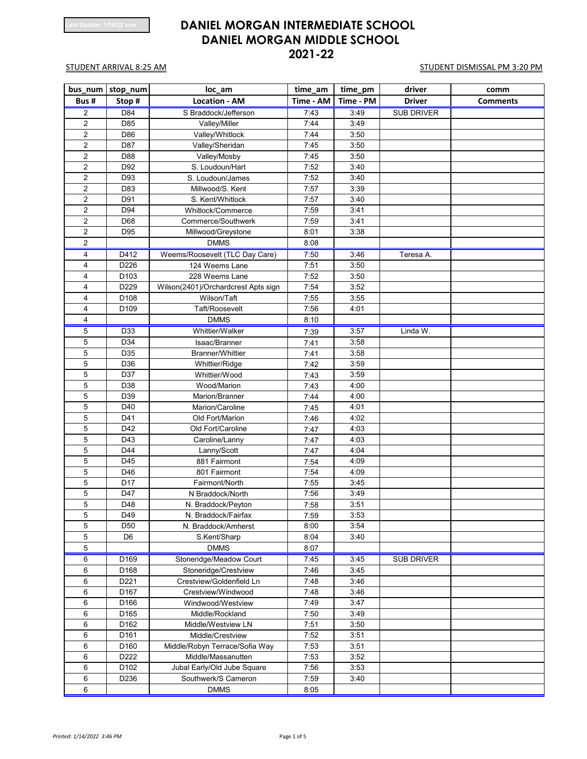| bus_num        | stop_num         | loc_am                              | time_am   | time_pm   | driver            | comm            |
|----------------|------------------|-------------------------------------|-----------|-----------|-------------------|-----------------|
| Bus#           | Stop#            | <b>Location - AM</b>                | Time - AM | Time - PM | <b>Driver</b>     | <b>Comments</b> |
| 2              | D84              | S Braddock/Jefferson                | 7:43      | 3:49      | <b>SUB DRIVER</b> |                 |
| $\overline{2}$ | D85              | Valley/Miller                       | 7:44      | 3:49      |                   |                 |
| 2              | D86              | Valley/Whitlock                     | 7:44      | 3:50      |                   |                 |
| 2              | D87              | Valley/Sheridan                     | 7:45      | 3:50      |                   |                 |
| 2              | D88              | Valley/Mosby                        | 7:45      | 3:50      |                   |                 |
| 2              | D92              | S. Loudoun/Hart                     | 7:52      | 3:40      |                   |                 |
| 2              | D93              | S. Loudoun/James                    | 7:52      | 3:40      |                   |                 |
| $\overline{2}$ | D83              | Millwood/S. Kent                    | 7:57      | 3:39      |                   |                 |
| 2              | D91              | S. Kent/Whitlock                    | 7:57      | 3:40      |                   |                 |
| 2              | D94              | Whitlock/Commerce                   | 7:59      | 3:41      |                   |                 |
| 2              | D68              | Commerce/Southwerk                  | 7:59      | 3:41      |                   |                 |
| 2              | D95              | Millwood/Greystone                  | 8:01      | 3:38      |                   |                 |
| 2              |                  | <b>DMMS</b>                         | 8:08      |           |                   |                 |
| 4              | D412             | Weems/Roosevelt (TLC Day Care)      | 7:50      | 3:46      | Teresa A.         |                 |
| 4              | D226             | 124 Weems Lane                      | 7:51      | 3:50      |                   |                 |
| 4              | D <sub>103</sub> | 228 Weems Lane                      | 7:52      | 3:50      |                   |                 |
| 4              | D229             | Wilson(2401)/Orchardcrest Apts sign | 7:54      | 3:52      |                   |                 |
| 4              | D108             | Wilson/Taft                         | 7:55      | 3:55      |                   |                 |
| 4              | D109             | Taft/Roosevelt                      | 7:56      | 4:01      |                   |                 |
| 4              |                  | <b>DMMS</b>                         | 8:10      |           |                   |                 |
| 5              | D33              | Whittier/Walker                     | 7:39      | 3:57      | Linda W.          |                 |
| 5              | D34              | Isaac/Branner                       | 7:41      | 3:58      |                   |                 |
| 5              | D35              | Branner/Whittier                    | 7:41      | 3:58      |                   |                 |
| 5              | D36              | Whittier/Ridge                      | 7:42      | 3:59      |                   |                 |
| 5              | D37              | Whittier/Wood                       | 7:43      | 3:59      |                   |                 |
| 5              | D38              | Wood/Marion                         | 7:43      | 4:00      |                   |                 |
| 5              | D39              | Marion/Branner                      | 7:44      | 4:00      |                   |                 |
| 5              | D40              | Marion/Caroline                     | 7:45      | 4:01      |                   |                 |
| 5              | D41              | Old Fort/Marion                     | 7:46      | 4:02      |                   |                 |
| 5              | D42              | Old Fort/Caroline                   | 7:47      | 4:03      |                   |                 |
| 5              | D43              | Caroline/Lanny                      | 7:47      | 4:03      |                   |                 |
| 5              | D44              | Lanny/Scott                         | 7:47      | 4:04      |                   |                 |
| 5              | D45              | 881 Fairmont                        | 7:54      | 4:09      |                   |                 |
| 5              | D46              | 801 Fairmont                        | 7:54      | 4:09      |                   |                 |
| 5              | D17              | Fairmont/North                      | 7:55      | 3:45      |                   |                 |
| 5              | D47              | N Braddock/North                    | 7:56      | 3:49      |                   |                 |
| 5              | D48              | N. Braddock/Peyton                  | 7:58      | 3:51      |                   |                 |
| 5              | D49              | N. Braddock/Fairfax                 | 7:59      | 3:53      |                   |                 |
| 5              | D <sub>50</sub>  | N. Braddock/Amherst                 | 8:00      | 3:54      |                   |                 |
| 5              | D <sub>6</sub>   | S.Kent/Sharp                        | 8:04      | 3:40      |                   |                 |
| 5              |                  | <b>DMMS</b>                         | 8:07      |           |                   |                 |
| 6              | D <sub>169</sub> | Stoneridge/Meadow Court             | 7:45      | 3:45      | <b>SUB DRIVER</b> |                 |
| 6              | D168             | Stoneridge/Crestview                | 7:46      | 3:45      |                   |                 |
| 6              | D221             | Crestview/Goldenfield Ln            | 7:48      | 3:46      |                   |                 |
| 6              | D167             | Crestview/Windwood                  | 7:48      | 3:46      |                   |                 |
| 6              | D166             | Windwood/Westview                   | 7:49      | 3:47      |                   |                 |
| 6              | D165             | Middle/Rockland                     | 7:50      | 3:49      |                   |                 |
| 6              | D162             | Middle/Westview LN                  | 7:51      | 3:50      |                   |                 |
| 6              | D161             | Middle/Crestview                    | 7:52      | 3:51      |                   |                 |
| 6              | D160             | Middle/Robyn Terrace/Sofia Way      | 7:53      | 3:51      |                   |                 |
| 6              | D222             | Middle/Massanutten                  | 7:53      | 3:52      |                   |                 |
| 6              | D <sub>102</sub> | Jubal Early/Old Jube Square         | 7:56      | 3:53      |                   |                 |
| 6              | D236             | Southwerk/S Cameron                 | 7:59      | 3:40      |                   |                 |
| 6              |                  | <b>DMMS</b>                         | 8:05      |           |                   |                 |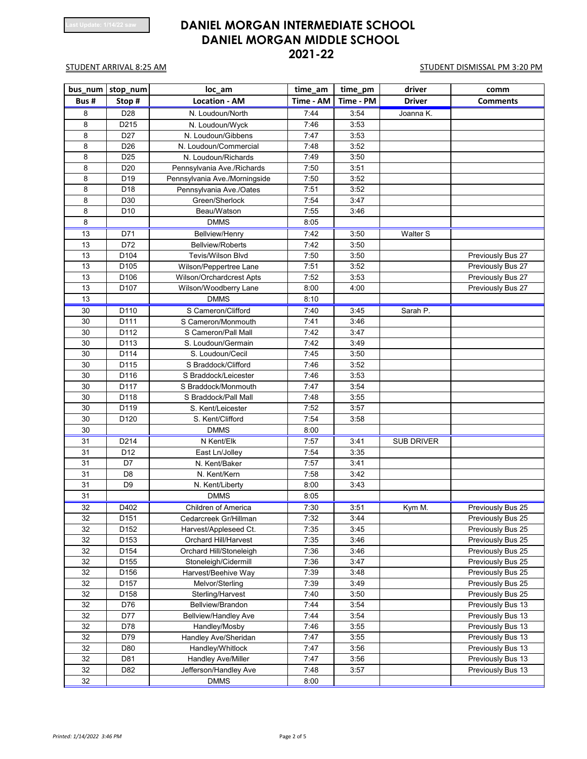| bus num | stop_num         | loc_am                        | time_am   | time_pm   | driver            | comm              |
|---------|------------------|-------------------------------|-----------|-----------|-------------------|-------------------|
| Bus#    | Stop#            | <b>Location - AM</b>          | Time - AM | Time - PM | <b>Driver</b>     | <b>Comments</b>   |
| 8       | D <sub>28</sub>  | N. Loudoun/North              | 7:44      | 3:54      | Joanna K.         |                   |
| 8       | D215             | N. Loudoun/Wyck               | 7:46      | 3:53      |                   |                   |
| 8       | D <sub>27</sub>  | N. Loudoun/Gibbens            | 7:47      | 3:53      |                   |                   |
| 8       | D <sub>26</sub>  | N. Loudoun/Commercial         | 7:48      | 3:52      |                   |                   |
| 8       | D <sub>25</sub>  | N. Loudoun/Richards           | 7:49      | 3:50      |                   |                   |
| 8       | D <sub>20</sub>  | Pennsylvania Ave./Richards    | 7:50      | 3:51      |                   |                   |
| 8       | D <sub>19</sub>  | Pennsylvania Ave./Morningside | 7:50      | 3:52      |                   |                   |
| 8       | D <sub>18</sub>  | Pennsylvania Ave./Oates       | 7:51      | 3:52      |                   |                   |
| 8       | D30              | Green/Sherlock                | 7:54      | 3:47      |                   |                   |
| 8       | D <sub>10</sub>  | Beau/Watson                   | 7:55      | 3:46      |                   |                   |
| 8       |                  | <b>DMMS</b>                   | 8:05      |           |                   |                   |
| 13      | D71              | <b>Bellview/Henry</b>         | 7:42      | 3:50      | Walter S          |                   |
| 13      | D72              | <b>Bellview/Roberts</b>       | 7:42      | 3:50      |                   |                   |
| 13      | D104             | <b>Tevis/Wilson Blvd</b>      | 7:50      | 3:50      |                   | Previously Bus 27 |
| 13      | D <sub>105</sub> | Wilson/Peppertree Lane        | 7:51      | 3:52      |                   | Previously Bus 27 |
| 13      | D106             | Wilson/Orchardcrest Apts      | 7:52      | 3:53      |                   | Previously Bus 27 |
| 13      | D <sub>107</sub> | Wilson/Woodberry Lane         | 8:00      | 4:00      |                   | Previously Bus 27 |
| 13      |                  | <b>DMMS</b>                   | 8:10      |           |                   |                   |
| 30      | D110             | S Cameron/Clifford            | 7:40      | 3:45      | Sarah P.          |                   |
| 30      | D111             | S Cameron/Monmouth            | 7:41      | 3:46      |                   |                   |
| 30      | D112             | S Cameron/Pall Mall           | 7:42      | 3:47      |                   |                   |
| 30      | D113             | S. Loudoun/Germain            | 7:42      | 3:49      |                   |                   |
| 30      | D114             | S. Loudoun/Cecil              | 7:45      | 3:50      |                   |                   |
| 30      | D115             | S Braddock/Clifford           | 7:46      | 3:52      |                   |                   |
| 30      | D116             | S Braddock/Leicester          | 7:46      | 3:53      |                   |                   |
| 30      | D117             | S Braddock/Monmouth           | 7:47      | 3:54      |                   |                   |
| 30      | D118             | S Braddock/Pall Mall          | 7:48      | 3:55      |                   |                   |
| 30      | D119             | S. Kent/Leicester             | 7:52      | 3:57      |                   |                   |
| 30      | D120             | S. Kent/Clifford              | 7:54      | 3:58      |                   |                   |
| 30      |                  | <b>DMMS</b>                   | 8:00      |           |                   |                   |
| 31      | D214             | N Kent/Elk                    | 7:57      | 3:41      | <b>SUB DRIVER</b> |                   |
| 31      | D <sub>12</sub>  | East Ln/Jolley                | 7:54      | 3:35      |                   |                   |
| 31      | D7               | N. Kent/Baker                 | 7:57      | 3:41      |                   |                   |
| 31      | D <sub>8</sub>   | N. Kent/Kern                  | 7:58      | 3:42      |                   |                   |
| 31      | D <sub>9</sub>   | N. Kent/Liberty               | 8:00      | 3:43      |                   |                   |
| 31      |                  | <b>DMMS</b>                   | 8:05      |           |                   |                   |
| 32      | D402             | Children of America           | 7:30      | 3:51      | Kym M.            | Previously Bus 25 |
| 32      | D <sub>151</sub> | Cedarcreek Gr/Hillman         | 7:32      | 3:44      |                   | Previously Bus 25 |
| 32      | D <sub>152</sub> | Harvest/Appleseed Ct.         | 7:35      | 3:45      |                   | Previously Bus 25 |
| 32      | D <sub>153</sub> | Orchard Hill/Harvest          | 7:35      | 3:46      |                   | Previously Bus 25 |
| 32      | D154             | Orchard Hill/Stoneleigh       | 7:36      | 3:46      |                   | Previously Bus 25 |
| 32      | D <sub>155</sub> | Stoneleigh/Cidermill          | 7:36      | 3:47      |                   | Previously Bus 25 |
| 32      | D156             | Harvest/Beehive Way           | 7:39      | 3:48      |                   | Previously Bus 25 |
| 32      | D <sub>157</sub> | Melvor/Sterling               | 7:39      | 3:49      |                   | Previously Bus 25 |
| 32      | D158             | Sterling/Harvest              | 7:40      | 3:50      |                   | Previously Bus 25 |
| 32      | D76              | Bellview/Brandon              | 7:44      | 3:54      |                   | Previously Bus 13 |
| 32      | D77              | <b>Bellview/Handley Ave</b>   | 7:44      | 3:54      |                   | Previously Bus 13 |
| 32      | D78              | Handley/Mosby                 | 7:46      | 3:55      |                   | Previously Bus 13 |
| 32      | D79              | Handley Ave/Sheridan          | 7:47      | 3:55      |                   | Previously Bus 13 |
| 32      | D80              | Handley/Whitlock              | 7:47      | 3:56      |                   | Previously Bus 13 |
| 32      | D81              | Handley Ave/Miller            | 7:47      | 3:56      |                   | Previously Bus 13 |
| 32      | D82              | Jefferson/Handley Ave         | 7:48      | 3:57      |                   | Previously Bus 13 |
| 32      |                  | <b>DMMS</b>                   | 8:00      |           |                   |                   |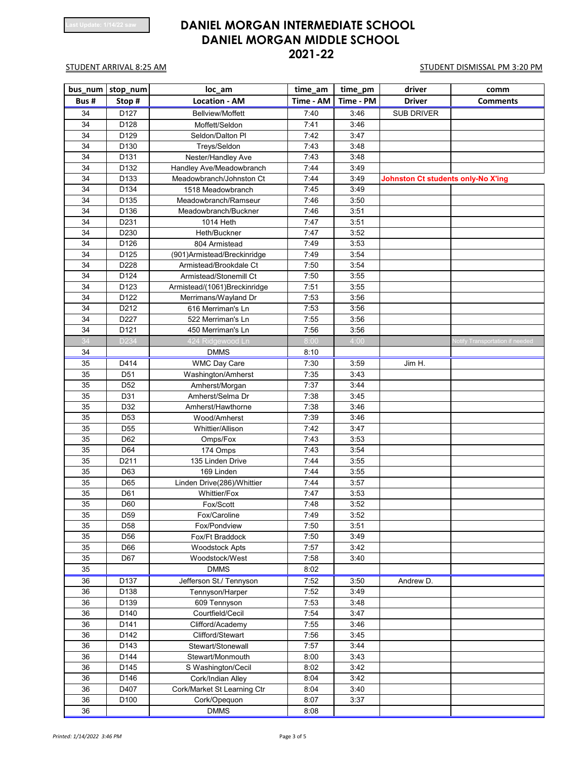| bus_num         | stop_num          | loc_am                       | time_am   | time_pm   | driver                                    | comm                                   |
|-----------------|-------------------|------------------------------|-----------|-----------|-------------------------------------------|----------------------------------------|
| Bus#            | Stop#             | <b>Location - AM</b>         | Time - AM | Time - PM | <b>Driver</b>                             | <b>Comments</b>                        |
| 34              | D127              | <b>Bellview/Moffett</b>      | 7:40      | 3:46      | <b>SUB DRIVER</b>                         |                                        |
| 34              | D128              | Moffett/Seldon               | 7:41      | 3:46      |                                           |                                        |
| 34              | D129              | Seldon/Dalton PI             | 7:42      | 3:47      |                                           |                                        |
| 34              | D130              | Treys/Seldon                 | 7:43      | 3:48      |                                           |                                        |
| 34              | D131              | Nester/Handley Ave           | 7:43      | 3:48      |                                           |                                        |
| 34              | D132              | Handley Ave/Meadowbranch     | 7:44      | 3:49      |                                           |                                        |
| 34              | D133              | Meadowbranch/Johnston Ct     | 7:44      | 3:49      | <b>Johnston Ct students only-No X'ing</b> |                                        |
| $\overline{34}$ | D134              | 1518 Meadowbranch            | 7:45      | 3:49      |                                           |                                        |
| 34              | D135              | Meadowbranch/Ramseur         | 7:46      | 3:50      |                                           |                                        |
| 34              | D136              | Meadowbranch/Buckner         | 7:46      | 3:51      |                                           |                                        |
| 34              | D231              | 1014 Heth                    | 7:47      | 3:51      |                                           |                                        |
| 34              | D230              | Heth/Buckner                 | 7:47      | 3:52      |                                           |                                        |
| 34              | D126              | 804 Armistead                | 7:49      | 3:53      |                                           |                                        |
| 34              | D125              | (901) Armistead/Breckinridge | 7:49      | 3:54      |                                           |                                        |
| 34              | D228              | Armistead/Brookdale Ct       | 7:50      | 3:54      |                                           |                                        |
| 34              | D124              | Armistead/Stonemill Ct       | 7:50      | 3:55      |                                           |                                        |
| 34              | D123              | Armistead/(1061)Breckinridge | 7:51      | 3:55      |                                           |                                        |
| 34              | D122              | Merrimans/Wayland Dr         | 7:53      | 3:56      |                                           |                                        |
| 34              | D212              | 616 Merriman's Ln            | 7:53      | 3:56      |                                           |                                        |
| 34              | D227              | 522 Merriman's Ln            | 7:55      | 3:56      |                                           |                                        |
| 34              | D121              | 450 Merriman's Ln            | 7:56      | 3:56      |                                           |                                        |
| 34              | D234              | 424 Ridgewood Ln             | 8:00      | 4:00      |                                           | <b>Notify Transportation if needed</b> |
| 34              |                   | <b>DMMS</b>                  | 8:10      |           |                                           |                                        |
| 35              | D414              | <b>WMC Day Care</b>          | 7:30      | 3:59      | Jim H.                                    |                                        |
| 35              | D <sub>51</sub>   | Washington/Amherst           | 7:35      | 3:43      |                                           |                                        |
| 35              | D <sub>52</sub>   | Amherst/Morgan               | 7:37      | 3:44      |                                           |                                        |
| 35              | D31               | Amherst/Selma Dr             | 7:38      | 3:45      |                                           |                                        |
| 35              | D32               | Amherst/Hawthorne            | 7:38      | 3:46      |                                           |                                        |
| 35              | D <sub>53</sub>   | Wood/Amherst                 | 7:39      | 3:46      |                                           |                                        |
| 35              | D <sub>55</sub>   | Whittier/Allison             | 7:42      | 3:47      |                                           |                                        |
| 35              | D62               | Omps/Fox                     | 7:43      | 3:53      |                                           |                                        |
| 35              | D64               | 174 Omps                     | 7:43      | 3:54      |                                           |                                        |
| 35              | D <sub>2</sub> 11 | 135 Linden Drive             | 7:44      | 3:55      |                                           |                                        |
| 35              | D63               | 169 Linden                   | 7:44      | 3:55      |                                           |                                        |
| 35              | D65               | Linden Drive(286)/Whittier   | 7:44      | 3:57      |                                           |                                        |
| 35              | D61               | <b>Whittier/Fox</b>          | 7:47      | 3:53      |                                           |                                        |
| 35              | D60               | Fox/Scott                    | 7:48      | 3:52      |                                           |                                        |
| 35              | D <sub>59</sub>   | Fox/Caroline                 | 7:49      | 3:52      |                                           |                                        |
| 35              | D <sub>58</sub>   | Fox/Pondview                 | 7:50      | 3:51      |                                           |                                        |
| 35              | D <sub>56</sub>   | Fox/Ft Braddock              | 7:50      | 3:49      |                                           |                                        |
| 35              | D66               | <b>Woodstock Apts</b>        | 7:57      | 3:42      |                                           |                                        |
| 35              | D67               | Woodstock/West               | 7:58      | 3:40      |                                           |                                        |
| 35              |                   | <b>DMMS</b>                  | 8:02      |           |                                           |                                        |
| 36              | D137              | Jefferson St./ Tennyson      | 7:52      | 3:50      | Andrew D.                                 |                                        |
| 36              | D138              | Tennyson/Harper              | 7:52      | 3:49      |                                           |                                        |
| 36              | D139              | 609 Tennyson                 | 7:53      | 3:48      |                                           |                                        |
| 36              | D140              | Courtfield/Cecil             | 7:54      | 3:47      |                                           |                                        |
| 36              | D141              | Clifford/Academy             | 7:55      | 3:46      |                                           |                                        |
| 36              | D142              | Clifford/Stewart             | 7:56      | 3:45      |                                           |                                        |
| 36              | D143              | Stewart/Stonewall            | 7:57      | 3:44      |                                           |                                        |
| 36              | D144              | Stewart/Monmouth             | 8:00      | 3:43      |                                           |                                        |
| 36              | D145              | S Washington/Cecil           | 8:02      | 3:42      |                                           |                                        |
| 36              | D146              | Cork/Indian Alley            | 8:04      | 3:42      |                                           |                                        |
| 36              | D407              | Cork/Market St Learning Ctr  | 8:04      | 3:40      |                                           |                                        |
| 36              | D100              | Cork/Opequon                 | 8:07      | 3:37      |                                           |                                        |
| 36              |                   | <b>DMMS</b>                  | 8:08      |           |                                           |                                        |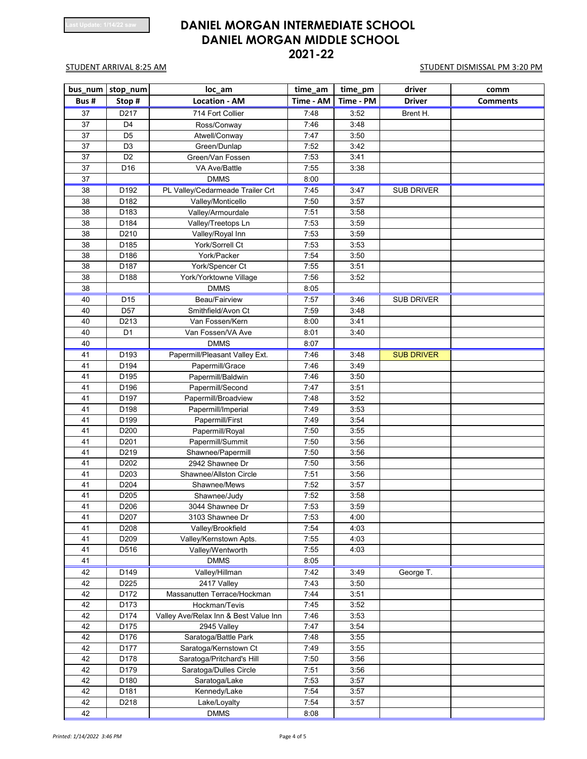| bus_num | stop_num         | loc_am                                | time_am   | time_pm   | driver            | comm            |
|---------|------------------|---------------------------------------|-----------|-----------|-------------------|-----------------|
| Bus#    | Stop#            | <b>Location - AM</b>                  | Time - AM | Time - PM | <b>Driver</b>     | <b>Comments</b> |
| 37      | D217             | 714 Fort Collier                      | 7:48      | 3:52      | Brent H.          |                 |
| 37      | D <sub>4</sub>   | Ross/Conway                           | 7:46      | 3:48      |                   |                 |
| 37      | D <sub>5</sub>   | Atwell/Conway                         | 7:47      | 3:50      |                   |                 |
| 37      | D <sub>3</sub>   | Green/Dunlap                          | 7:52      | 3:42      |                   |                 |
| 37      | D <sub>2</sub>   | Green/Van Fossen                      | 7:53      | 3:41      |                   |                 |
| 37      | D <sub>16</sub>  | VA Ave/Battle                         | 7:55      | 3:38      |                   |                 |
| 37      |                  | <b>DMMS</b>                           | 8:00      |           |                   |                 |
| 38      | D192             | PL Valley/Cedarmeade Trailer Crt      | 7:45      | 3:47      | <b>SUB DRIVER</b> |                 |
| 38      | D182             | Valley/Monticello                     | 7:50      | 3:57      |                   |                 |
| 38      | D183             | Valley/Armourdale                     | 7:51      | 3:58      |                   |                 |
| 38      | D184             | Valley/Treetops Ln                    | 7:53      | 3:59      |                   |                 |
| 38      | D210             | Valley/Royal Inn                      | 7:53      | 3:59      |                   |                 |
| 38      | D185             | York/Sorrell Ct                       | 7:53      | 3:53      |                   |                 |
| 38      | D186             | York/Packer                           | 7:54      | 3:50      |                   |                 |
| 38      | D187             | York/Spencer Ct                       | 7:55      | 3:51      |                   |                 |
| 38      | D188             | York/Yorktowne Village                | 7:56      | 3:52      |                   |                 |
| 38      |                  | <b>DMMS</b>                           | 8:05      |           |                   |                 |
| 40      | D <sub>15</sub>  | Beau/Fairview                         | 7:57      | 3:46      | <b>SUB DRIVER</b> |                 |
| 40      | D <sub>57</sub>  | Smithfield/Avon Ct                    | 7:59      | 3:48      |                   |                 |
| 40      | D213             | Van Fossen/Kern                       | 8:00      | 3:41      |                   |                 |
| 40      | D <sub>1</sub>   | Van Fossen/VA Ave                     | 8:01      | 3:40      |                   |                 |
| 40      |                  | <b>DMMS</b>                           | 8:07      |           |                   |                 |
| 41      | D193             | Papermill/Pleasant Valley Ext.        | 7:46      | 3:48      | <b>SUB DRIVER</b> |                 |
| 41      | D194             | Papermill/Grace                       | 7:46      | 3:49      |                   |                 |
| 41      | D195             | Papermill/Baldwin                     | 7:46      | 3:50      |                   |                 |
| 41      | D196             | Papermill/Second                      | 7:47      | 3:51      |                   |                 |
| 41      | D197             | Papermill/Broadview                   | 7:48      | 3:52      |                   |                 |
| 41      | D198             | Papermill/Imperial                    | 7:49      | 3:53      |                   |                 |
| 41      | D199             | Papermill/First                       | 7:49      | 3:54      |                   |                 |
| 41      | D200             | Papermill/Royal                       | 7:50      | 3:55      |                   |                 |
| 41      | D201             | Papermill/Summit                      | 7:50      | 3:56      |                   |                 |
| 41      | D219             | Shawnee/Papermill                     | 7:50      | 3:56      |                   |                 |
| 41      | D <sub>202</sub> | 2942 Shawnee Dr                       | 7:50      | 3:56      |                   |                 |
| 41      | D203             | Shawnee/Allston Circle                | 7:51      | 3:56      |                   |                 |
| 41      | D204             | Shawnee/Mews                          | 7:52      | 3:57      |                   |                 |
| 41      | D205             | Shawnee/Judy                          | 7:52      | 3:58      |                   |                 |
| 41      | D206             | 3044 Shawnee Dr                       | 7:53      | 3:59      |                   |                 |
| 41      | D207             | 3103 Shawnee Dr                       | 7:53      | 4:00      |                   |                 |
| 41      | D208             | Valley/Brookfield                     | 7:54      | 4:03      |                   |                 |
| 41      | D209             | Valley/Kernstown Apts.                | 7:55      | 4:03      |                   |                 |
| 41      | D516             | Valley/Wentworth                      | 7:55      | 4:03      |                   |                 |
| 41      |                  | <b>DMMS</b>                           | 8:05      |           |                   |                 |
| 42      | D149             | Valley/Hillman                        | 7:42      | 3:49      | George T.         |                 |
| 42      | D225             | 2417 Valley                           | 7:43      | 3:50      |                   |                 |
| 42      | D172             | Massanutten Terrace/Hockman           | 7:44      | 3:51      |                   |                 |
| 42      | D173             | Hockman/Tevis                         | 7:45      | 3:52      |                   |                 |
| 42      | D174             | Valley Ave/Relax Inn & Best Value Inn | 7:46      | 3:53      |                   |                 |
| 42      | D175             | 2945 Valley                           | 7:47      | 3:54      |                   |                 |
| 42      | D176             | Saratoga/Battle Park                  | 7:48      | 3:55      |                   |                 |
| 42      | D177             | Saratoga/Kernstown Ct                 | 7:49      | 3:55      |                   |                 |
| 42      | D178             | Saratoga/Pritchard's Hill             | 7:50      | 3:56      |                   |                 |
| 42      | D179             | Saratoga/Dulles Circle                | 7:51      | 3:56      |                   |                 |
| 42      | D180             | Saratoga/Lake                         | 7:53      | 3:57      |                   |                 |
| 42      | D181             | Kennedy/Lake                          | 7:54      | 3:57      |                   |                 |
| 42      | D218             | Lake/Loyalty                          | 7:54      | 3:57      |                   |                 |
| 42      |                  | <b>DMMS</b>                           | 8:08      |           |                   |                 |